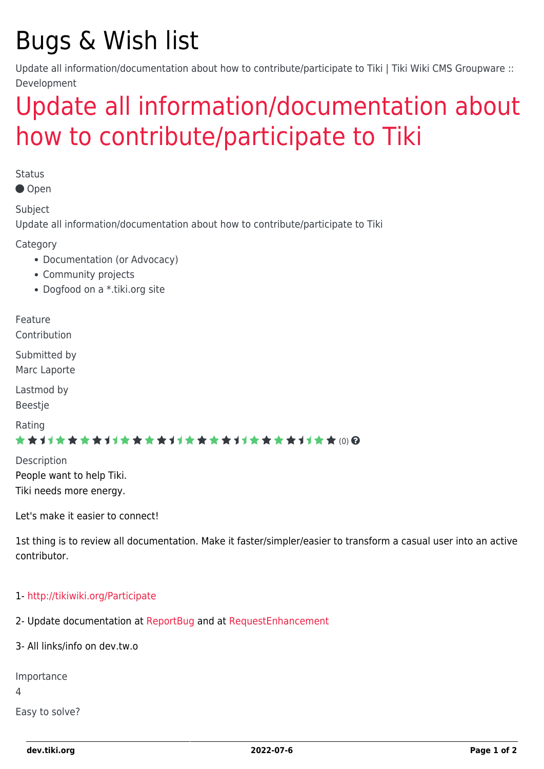# Bugs & Wish list

Update all information/documentation about how to contribute/participate to Tiki | Tiki Wiki CMS Groupware :: Development

## [Update all information/documentation about](https://dev.tiki.org/item1221-Update-all-information-documentation-about-how-to-contribute-participate-to-Tiki) [how to contribute/participate to Tiki](https://dev.tiki.org/item1221-Update-all-information-documentation-about-how-to-contribute-participate-to-Tiki)

**Status** 

● Open

Subject

Update all information/documentation about how to contribute/participate to Tiki

Category

- Documentation (or Advocacy)
- Community projects
- Dogfood on a \*.tiki.org site

Feature

Contribution

Submitted by Marc Laporte

Lastmod by

Beestje

Rating

#### ★★11★★★★11★★★★11★★★★11★★★★+11★★ (0) @

Description People want to help Tiki. Tiki needs more energy.

Let's make it easier to connect!

1st thing is to review all documentation. Make it faster/simpler/easier to transform a casual user into an active contributor.

#### 1-<http://tikiwiki.org/Participate>

- 2- Update documentation at [ReportBug](http://tiki.org/ReportBug) and at [RequestEnhancement](http://tiki.org/RequestEnhancement)
- 3- All links/info on dev tw o

Importance

4

Easy to solve?